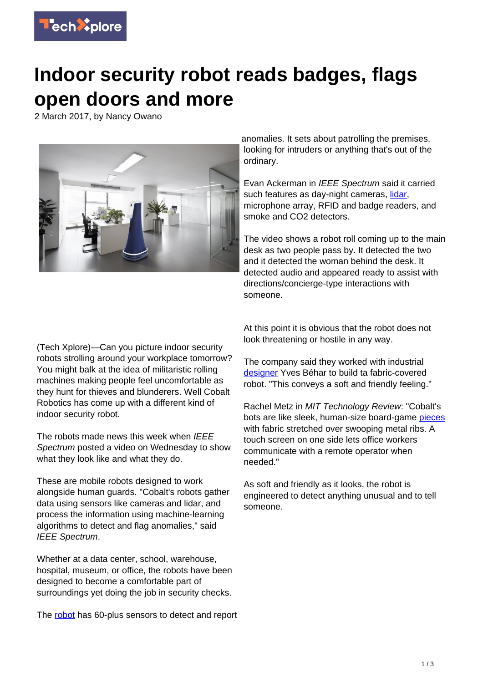

## **Indoor security robot reads badges, flags open doors and more**

2 March 2017, by Nancy Owano



anomalies. It sets about patrolling the premises, looking for intruders or anything that's out of the ordinary.

Evan Ackerman in IEEE Spectrum said it carried such features as day-night cameras, [lidar,](http://spectrum.ieee.org/automaton/robotics/industrial-robots/cobalt-robotics-introduces-mobile-security-robot) microphone array, RFID and badge readers, and smoke and CO2 detectors.

The video shows a robot roll coming up to the main desk as two people pass by. It detected the two and it detected the woman behind the desk. It detected audio and appeared ready to assist with directions/concierge-type interactions with someone.

(Tech Xplore)—Can you picture indoor security robots strolling around your workplace tomorrow? You might balk at the idea of militaristic rolling machines making people feel uncomfortable as they hunt for thieves and blunderers. Well Cobalt Robotics has come up with a different kind of indoor security robot.

The robots made news this week when IEEE Spectrum posted a video on Wednesday to show what they look like and what they do.

These are mobile robots designed to work alongside human guards. "Cobalt's robots gather data using sensors like cameras and lidar, and process the information using machine-learning algorithms to detect and flag anomalies," said IEEE Spectrum.

Whether at a data center, school, warehouse, hospital, museum, or office, the robots have been designed to become a comfortable part of surroundings yet doing the job in security checks.

The [robot](https://techxplore.com/tags/robot/) has 60-plus sensors to detect and report

At this point it is obvious that the robot does not look threatening or hostile in any way.

The company said they worked with industrial [designer](https://www.cobaltrobotics.com/) Yves Béhar to build ta fabric-covered robot. "This conveys a soft and friendly feeling."

Rachel Metz in MIT Technology Review: "Cobalt's bots are like sleek, human-size board-game [pieces](https://www.technologyreview.com/s/603758/security-robots-get-a-designer-makeover/) with fabric stretched over swooping metal ribs. A touch screen on one side lets office workers communicate with a remote operator when needed."

As soft and friendly as it looks, the robot is engineered to detect anything unusual and to tell someone.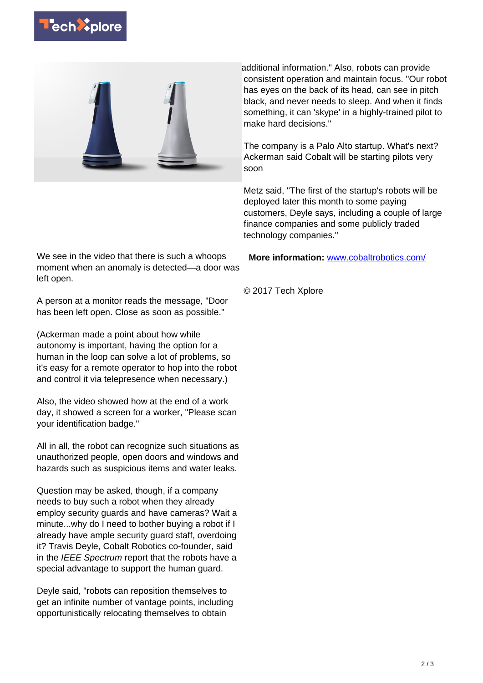



We see in the video that there is such a whoops moment when an anomaly is detected—a door was left open.

A person at a monitor reads the message, "Door has been left open. Close as soon as possible."

(Ackerman made a point about how while autonomy is important, having the option for a human in the loop can solve a lot of problems, so it's easy for a remote operator to hop into the robot and control it via telepresence when necessary.)

Also, the video showed how at the end of a work day, it showed a screen for a worker, "Please scan your identification badge."

All in all, the robot can recognize such situations as unauthorized people, open doors and windows and hazards such as suspicious items and water leaks.

Question may be asked, though, if a company needs to buy such a robot when they already employ security guards and have cameras? Wait a minute...why do I need to bother buying a robot if I already have ample security guard staff, overdoing it? Travis Deyle, Cobalt Robotics co-founder, said in the IEEE Spectrum report that the robots have a special advantage to support the human guard.

Deyle said, "robots can reposition themselves to get an infinite number of vantage points, including opportunistically relocating themselves to obtain

additional information." Also, robots can provide consistent operation and maintain focus. "Our robot has eyes on the back of its head, can see in pitch black, and never needs to sleep. And when it finds something, it can 'skype' in a highly-trained pilot to make hard decisions."

The company is a Palo Alto startup. What's next? Ackerman said Cobalt will be starting pilots very soon

Metz said, "The first of the startup's robots will be deployed later this month to some paying customers, Deyle says, including a couple of large finance companies and some publicly traded technology companies."

**More information:** [www.cobaltrobotics.com/](https://www.cobaltrobotics.com/)

© 2017 Tech Xplore